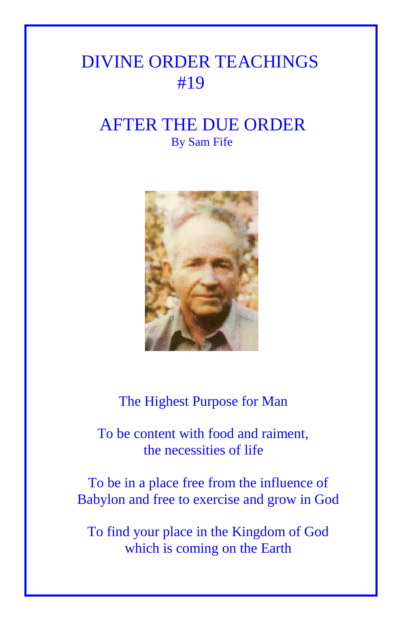## DIVINE ORDER TEACHINGS #19

## AFTER THE DUE ORDER By Sam Fife



The Highest Purpose for Man

 To be content with food and raiment, the necessities of life

To be in a place free from the influence of Babylon and free to exercise and grow in God

To find your place in the Kingdom of God which is coming on the Earth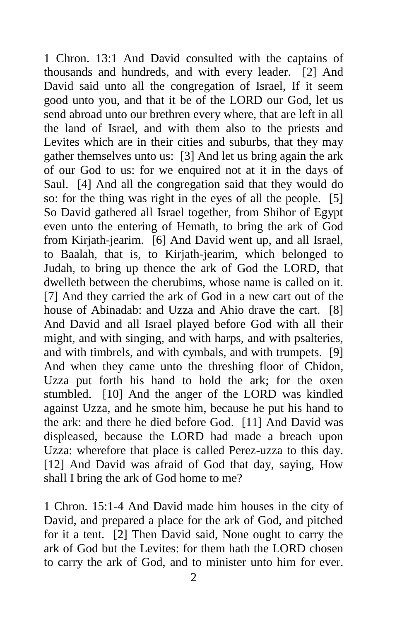1 Chron. 13:1 And David consulted with the captains of thousands and hundreds, and with every leader. [2] And David said unto all the congregation of Israel, If it seem good unto you, and that it be of the LORD our God, let us send abroad unto our brethren every where, that are left in all the land of Israel, and with them also to the priests and Levites which are in their cities and suburbs, that they may gather themselves unto us: [3] And let us bring again the ark of our God to us: for we enquired not at it in the days of Saul. [4] And all the congregation said that they would do so: for the thing was right in the eyes of all the people. [5] So David gathered all Israel together, from Shihor of Egypt even unto the entering of Hemath, to bring the ark of God from Kirjath-jearim. [6] And David went up, and all Israel, to Baalah, that is, to Kirjath-jearim, which belonged to Judah, to bring up thence the ark of God the LORD, that dwelleth between the cherubims, whose name is called on it. [7] And they carried the ark of God in a new cart out of the house of Abinadab: and Uzza and Ahio drave the cart. [8] And David and all Israel played before God with all their might, and with singing, and with harps, and with psalteries, and with timbrels, and with cymbals, and with trumpets. [9] And when they came unto the threshing floor of Chidon, Uzza put forth his hand to hold the ark; for the oxen stumbled. [10] And the anger of the LORD was kindled against Uzza, and he smote him, because he put his hand to the ark: and there he died before God. [11] And David was displeased, because the LORD had made a breach upon Uzza: wherefore that place is called Perez-uzza to this day. [12] And David was afraid of God that day, saying, How shall I bring the ark of God home to me?

1 Chron. 15:1-4 And David made him houses in the city of David, and prepared a place for the ark of God, and pitched for it a tent. [2] Then David said, None ought to carry the ark of God but the Levites: for them hath the LORD chosen to carry the ark of God, and to minister unto him for ever.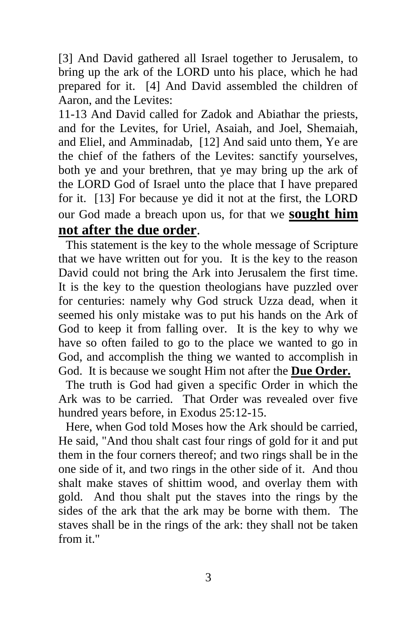[3] And David gathered all Israel together to Jerusalem, to bring up the ark of the LORD unto his place, which he had prepared for it. [4] And David assembled the children of Aaron, and the Levites:

11-13 And David called for Zadok and Abiathar the priests, and for the Levites, for Uriel, Asaiah, and Joel, Shemaiah, and Eliel, and Amminadab, [12] And said unto them, Ye are the chief of the fathers of the Levites: sanctify yourselves, both ye and your brethren, that ye may bring up the ark of the LORD God of Israel unto the place that I have prepared for it. [13] For because ye did it not at the first, the LORD our God made a breach upon us, for that we **sought him not after the due order**.

This statement is the key to the whole message of Scripture that we have written out for you. It is the key to the reason David could not bring the Ark into Jerusalem the first time. It is the key to the question theologians have puzzled over for centuries: namely why God struck Uzza dead, when it seemed his only mistake was to put his hands on the Ark of God to keep it from falling over. It is the key to why we have so often failed to go to the place we wanted to go in God, and accomplish the thing we wanted to accomplish in God. It is because we sought Him not after the **Due Order.**

The truth is God had given a specific Order in which the Ark was to be carried. That Order was revealed over five hundred years before, in Exodus 25:12-15.

Here, when God told Moses how the Ark should be carried, He said, "And thou shalt cast four rings of gold for it and put them in the four corners thereof; and two rings shall be in the one side of it, and two rings in the other side of it. And thou shalt make staves of shittim wood, and overlay them with gold. And thou shalt put the staves into the rings by the sides of the ark that the ark may be borne with them. The staves shall be in the rings of the ark: they shall not be taken from it."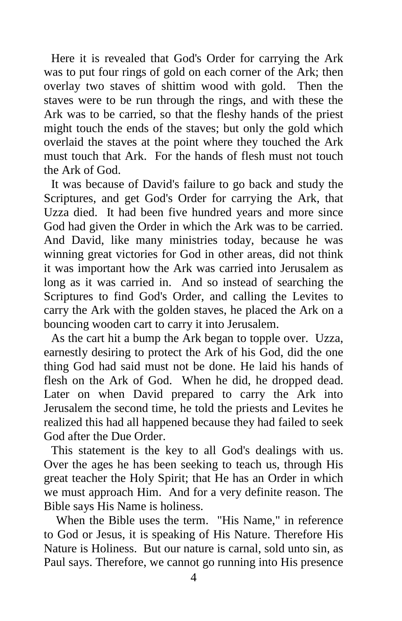Here it is revealed that God's Order for carrying the Ark was to put four rings of gold on each corner of the Ark; then overlay two staves of shittim wood with gold. Then the staves were to be run through the rings, and with these the Ark was to be carried, so that the fleshy hands of the priest might touch the ends of the staves; but only the gold which overlaid the staves at the point where they touched the Ark must touch that Ark. For the hands of flesh must not touch the Ark of God.

It was because of David's failure to go back and study the Scriptures, and get God's Order for carrying the Ark, that Uzza died. It had been five hundred years and more since God had given the Order in which the Ark was to be carried. And David, like many ministries today, because he was winning great victories for God in other areas, did not think it was important how the Ark was carried into Jerusalem as long as it was carried in. And so instead of searching the Scriptures to find God's Order, and calling the Levites to carry the Ark with the golden staves, he placed the Ark on a bouncing wooden cart to carry it into Jerusalem.

As the cart hit a bump the Ark began to topple over. Uzza, earnestly desiring to protect the Ark of his God, did the one thing God had said must not be done. He laid his hands of flesh on the Ark of God. When he did, he dropped dead. Later on when David prepared to carry the Ark into Jerusalem the second time, he told the priests and Levites he realized this had all happened because they had failed to seek God after the Due Order.

This statement is the key to all God's dealings with us. Over the ages he has been seeking to teach us, through His great teacher the Holy Spirit; that He has an Order in which we must approach Him. And for a very definite reason. The Bible says His Name is holiness.

 When the Bible uses the term. "His Name," in reference to God or Jesus, it is speaking of His Nature. Therefore His Nature is Holiness. But our nature is carnal, sold unto sin, as Paul says. Therefore, we cannot go running into His presence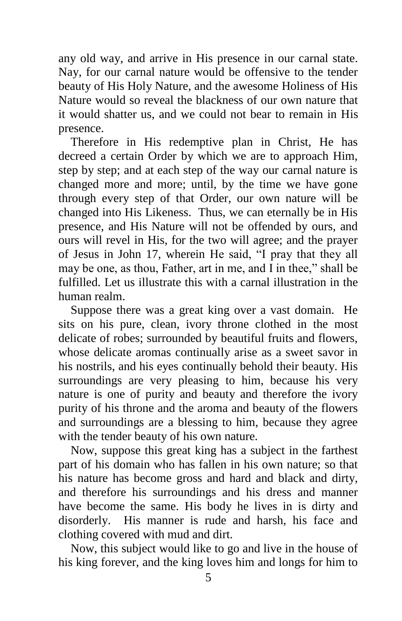any old way, and arrive in His presence in our carnal state. Nay, for our carnal nature would be offensive to the tender beauty of His Holy Nature, and the awesome Holiness of His Nature would so reveal the blackness of our own nature that it would shatter us, and we could not bear to remain in His presence.

 Therefore in His redemptive plan in Christ, He has decreed a certain Order by which we are to approach Him, step by step; and at each step of the way our carnal nature is changed more and more; until, by the time we have gone through every step of that Order, our own nature will be changed into His Likeness. Thus, we can eternally be in His presence, and His Nature will not be offended by ours, and ours will revel in His, for the two will agree; and the prayer of Jesus in John 17, wherein He said, "I pray that they all may be one, as thou, Father, art in me, and I in thee," shall be fulfilled. Let us illustrate this with a carnal illustration in the human realm.

 Suppose there was a great king over a vast domain. He sits on his pure, clean, ivory throne clothed in the most delicate of robes; surrounded by beautiful fruits and flowers, whose delicate aromas continually arise as a sweet savor in his nostrils, and his eyes continually behold their beauty. His surroundings are very pleasing to him, because his very nature is one of purity and beauty and therefore the ivory purity of his throne and the aroma and beauty of the flowers and surroundings are a blessing to him, because they agree with the tender beauty of his own nature.

 Now, suppose this great king has a subject in the farthest part of his domain who has fallen in his own nature; so that his nature has become gross and hard and black and dirty, and therefore his surroundings and his dress and manner have become the same. His body he lives in is dirty and disorderly. His manner is rude and harsh, his face and clothing covered with mud and dirt.

 Now, this subject would like to go and live in the house of his king forever, and the king loves him and longs for him to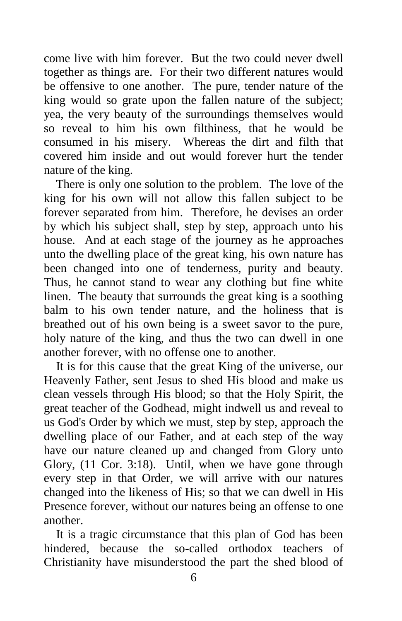come live with him forever. But the two could never dwell together as things are. For their two different natures would be offensive to one another. The pure, tender nature of the king would so grate upon the fallen nature of the subject; yea, the very beauty of the surroundings themselves would so reveal to him his own filthiness, that he would be consumed in his misery. Whereas the dirt and filth that covered him inside and out would forever hurt the tender nature of the king.

 There is only one solution to the problem. The love of the king for his own will not allow this fallen subject to be forever separated from him. Therefore, he devises an order by which his subject shall, step by step, approach unto his house. And at each stage of the journey as he approaches unto the dwelling place of the great king, his own nature has been changed into one of tenderness, purity and beauty. Thus, he cannot stand to wear any clothing but fine white linen. The beauty that surrounds the great king is a soothing balm to his own tender nature, and the holiness that is breathed out of his own being is a sweet savor to the pure, holy nature of the king, and thus the two can dwell in one another forever, with no offense one to another.

 It is for this cause that the great King of the universe, our Heavenly Father, sent Jesus to shed His blood and make us clean vessels through His blood; so that the Holy Spirit, the great teacher of the Godhead, might indwell us and reveal to us God's Order by which we must, step by step, approach the dwelling place of our Father, and at each step of the way have our nature cleaned up and changed from Glory unto Glory, (11 Cor. 3:18). Until, when we have gone through every step in that Order, we will arrive with our natures changed into the likeness of His; so that we can dwell in His Presence forever, without our natures being an offense to one another.

 It is a tragic circumstance that this plan of God has been hindered, because the so-called orthodox teachers of Christianity have misunderstood the part the shed blood of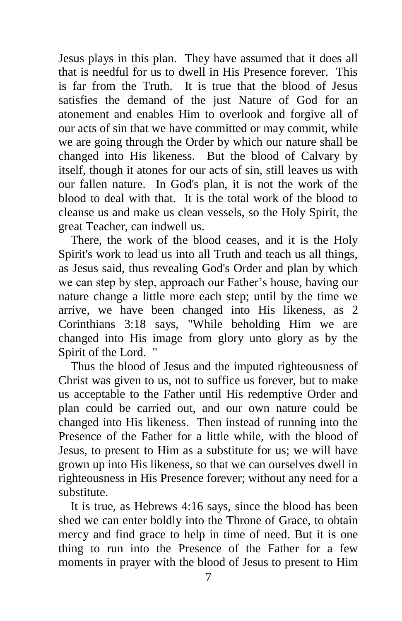Jesus plays in this plan. They have assumed that it does all that is needful for us to dwell in His Presence forever. This is far from the Truth. It is true that the blood of Jesus satisfies the demand of the just Nature of God for an atonement and enables Him to overlook and forgive all of our acts of sin that we have committed or may commit, while we are going through the Order by which our nature shall be changed into His likeness. But the blood of Calvary by itself, though it atones for our acts of sin, still leaves us with our fallen nature. In God's plan, it is not the work of the blood to deal with that. It is the total work of the blood to cleanse us and make us clean vessels, so the Holy Spirit, the great Teacher, can indwell us.

 There, the work of the blood ceases, and it is the Holy Spirit's work to lead us into all Truth and teach us all things, as Jesus said, thus revealing God's Order and plan by which we can step by step, approach our Father's house, having our nature change a little more each step; until by the time we arrive, we have been changed into His likeness, as 2 Corinthians 3:18 says, "While beholding Him we are changed into His image from glory unto glory as by the Spirit of the Lord. "

 Thus the blood of Jesus and the imputed righteousness of Christ was given to us, not to suffice us forever, but to make us acceptable to the Father until His redemptive Order and plan could be carried out, and our own nature could be changed into His likeness. Then instead of running into the Presence of the Father for a little while, with the blood of Jesus, to present to Him as a substitute for us; we will have grown up into His likeness, so that we can ourselves dwell in righteousness in His Presence forever; without any need for a substitute.

 It is true, as Hebrews 4:16 says, since the blood has been shed we can enter boldly into the Throne of Grace, to obtain mercy and find grace to help in time of need. But it is one thing to run into the Presence of the Father for a few moments in prayer with the blood of Jesus to present to Him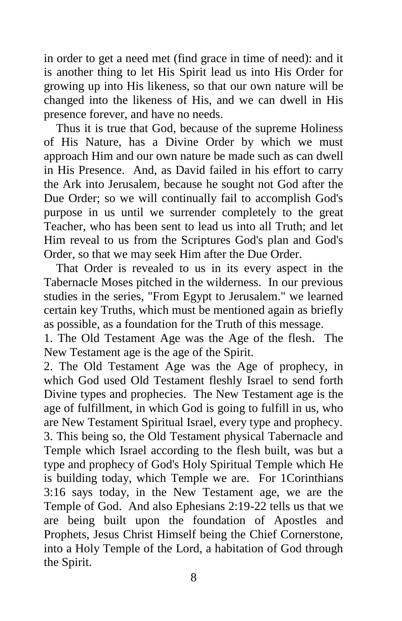in order to get a need met (find grace in time of need): and it is another thing to let His Spirit lead us into His Order for growing up into His likeness, so that our own nature will be changed into the likeness of His, and we can dwell in His presence forever, and have no needs.

 Thus it is true that God, because of the supreme Holiness of His Nature, has a Divine Order by which we must approach Him and our own nature be made such as can dwell in His Presence. And, as David failed in his effort to carry the Ark into Jerusalem, because he sought not God after the Due Order; so we will continually fail to accomplish God's purpose in us until we surrender completely to the great Teacher, who has been sent to lead us into all Truth; and let Him reveal to us from the Scriptures God's plan and God's Order, so that we may seek Him after the Due Order.

 That Order is revealed to us in its every aspect in the Tabernacle Moses pitched in the wilderness. In our previous studies in the series, "From Egypt to Jerusalem." we learned certain key Truths, which must be mentioned again as briefly as possible, as a foundation for the Truth of this message.

1. The Old Testament Age was the Age of the flesh. The New Testament age is the age of the Spirit.

2. The Old Testament Age was the Age of prophecy, in which God used Old Testament fleshly Israel to send forth Divine types and prophecies. The New Testament age is the age of fulfillment, in which God is going to fulfill in us, who are New Testament Spiritual Israel, every type and prophecy. 3. This being so, the Old Testament physical Tabernacle and Temple which Israel according to the flesh built, was but a type and prophecy of God's Holy Spiritual Temple which He is building today, which Temple we are. For 1Corinthians 3:16 says today, in the New Testament age, we are the Temple of God. And also Ephesians 2:19-22 tells us that we are being built upon the foundation of Apostles and Prophets, Jesus Christ Himself being the Chief Cornerstone, into a Holy Temple of the Lord, a habitation of God through the Spirit.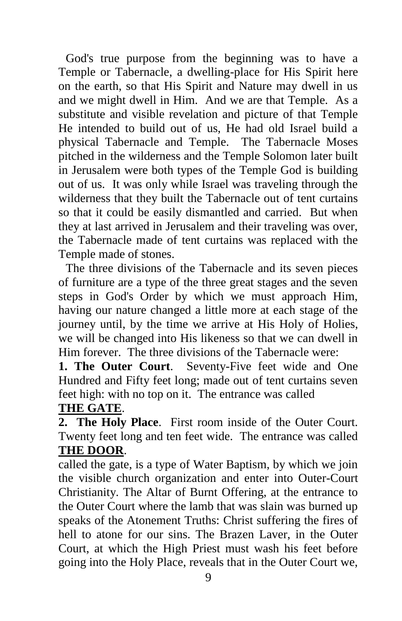God's true purpose from the beginning was to have a Temple or Tabernacle, a dwelling-place for His Spirit here on the earth, so that His Spirit and Nature may dwell in us and we might dwell in Him. And we are that Temple. As a substitute and visible revelation and picture of that Temple He intended to build out of us, He had old Israel build a physical Tabernacle and Temple. The Tabernacle Moses pitched in the wilderness and the Temple Solomon later built in Jerusalem were both types of the Temple God is building out of us. It was only while Israel was traveling through the wilderness that they built the Tabernacle out of tent curtains so that it could be easily dismantled and carried. But when they at last arrived in Jerusalem and their traveling was over, the Tabernacle made of tent curtains was replaced with the Temple made of stones.

The three divisions of the Tabernacle and its seven pieces of furniture are a type of the three great stages and the seven steps in God's Order by which we must approach Him, having our nature changed a little more at each stage of the journey until, by the time we arrive at His Holy of Holies, we will be changed into His likeness so that we can dwell in Him forever. The three divisions of the Tabernacle were:

**1. The Outer Court**. Seventy-Five feet wide and One Hundred and Fifty feet long; made out of tent curtains seven feet high: with no top on it. The entrance was called

## **THE GATE**.

**2. The Holy Place**. First room inside of the Outer Court. Twenty feet long and ten feet wide. The entrance was called **THE DOOR**.

called the gate, is a type of Water Baptism, by which we join the visible church organization and enter into Outer-Court Christianity. The Altar of Burnt Offering, at the entrance to the Outer Court where the lamb that was slain was burned up speaks of the Atonement Truths: Christ suffering the fires of hell to atone for our sins. The Brazen Laver, in the Outer Court, at which the High Priest must wash his feet before going into the Holy Place, reveals that in the Outer Court we,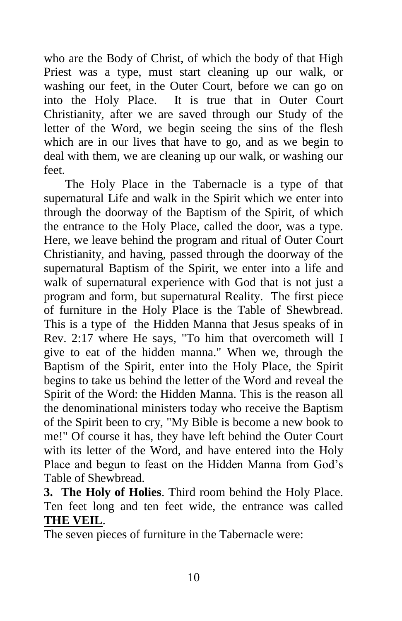who are the Body of Christ, of which the body of that High Priest was a type, must start cleaning up our walk, or washing our feet, in the Outer Court, before we can go on into the Holy Place. It is true that in Outer Court Christianity, after we are saved through our Study of the letter of the Word, we begin seeing the sins of the flesh which are in our lives that have to go, and as we begin to deal with them, we are cleaning up our walk, or washing our feet.

 The Holy Place in the Tabernacle is a type of that supernatural Life and walk in the Spirit which we enter into through the doorway of the Baptism of the Spirit, of which the entrance to the Holy Place, called the door, was a type. Here, we leave behind the program and ritual of Outer Court Christianity, and having, passed through the doorway of the supernatural Baptism of the Spirit, we enter into a life and walk of supernatural experience with God that is not just a program and form, but supernatural Reality. The first piece of furniture in the Holy Place is the Table of Shewbread. This is a type of the Hidden Manna that Jesus speaks of in Rev. 2:17 where He says, "To him that overcometh will I give to eat of the hidden manna." When we, through the Baptism of the Spirit, enter into the Holy Place, the Spirit begins to take us behind the letter of the Word and reveal the Spirit of the Word: the Hidden Manna. This is the reason all the denominational ministers today who receive the Baptism of the Spirit been to cry, "My Bible is become a new book to me!" Of course it has, they have left behind the Outer Court with its letter of the Word, and have entered into the Holy Place and begun to feast on the Hidden Manna from God's Table of Shewbread.

**3. The Holy of Holies**. Third room behind the Holy Place. Ten feet long and ten feet wide, the entrance was called **THE VEIL**.

The seven pieces of furniture in the Tabernacle were: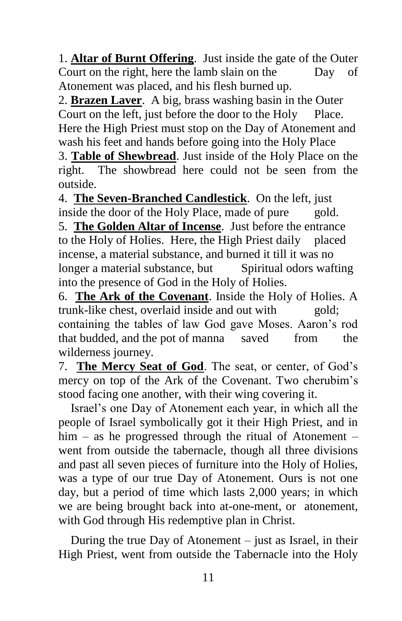1. **Altar of Burnt Offering**. Just inside the gate of the Outer Court on the right, here the lamb slain on the Day of Atonement was placed, and his flesh burned up.

2. **Brazen Laver**. A big, brass washing basin in the Outer Court on the left, just before the door to the Holy Place. Here the High Priest must stop on the Day of Atonement and wash his feet and hands before going into the Holy Place

3. **Table of Shewbread**. Just inside of the Holy Place on the right. The showbread here could not be seen from the outside.

4. **The Seven-Branched Candlestick**. On the left, just inside the door of the Holy Place, made of pure gold. 5. **The Golden Altar of Incense**. Just before the entrance to the Holy of Holies. Here, the High Priest daily placed incense, a material substance, and burned it till it was no longer a material substance, but Spiritual odors wafting into the presence of God in the Holy of Holies.

6. **The Ark of the Covenant**. Inside the Holy of Holies. A trunk-like chest, overlaid inside and out with gold; containing the tables of law God gave Moses. Aaron's rod that budded, and the pot of manna saved from the wilderness journey.

7. **The Mercy Seat of God**. The seat, or center, of God's mercy on top of the Ark of the Covenant. Two cherubim's stood facing one another, with their wing covering it.

 Israel's one Day of Atonement each year, in which all the people of Israel symbolically got it their High Priest, and in him – as he progressed through the ritual of Atonement – went from outside the tabernacle, though all three divisions and past all seven pieces of furniture into the Holy of Holies, was a type of our true Day of Atonement. Ours is not one day, but a period of time which lasts 2,000 years; in which we are being brought back into at-one-ment, or atonement, with God through His redemptive plan in Christ.

 During the true Day of Atonement – just as Israel, in their High Priest, went from outside the Tabernacle into the Holy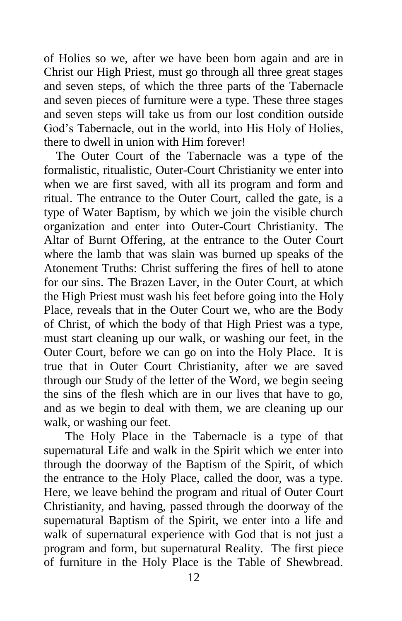of Holies so we, after we have been born again and are in Christ our High Priest, must go through all three great stages and seven steps, of which the three parts of the Tabernacle and seven pieces of furniture were a type. These three stages and seven steps will take us from our lost condition outside God's Tabernacle, out in the world, into His Holy of Holies, there to dwell in union with Him forever!

 The Outer Court of the Tabernacle was a type of the formalistic, ritualistic, Outer-Court Christianity we enter into when we are first saved, with all its program and form and ritual. The entrance to the Outer Court, called the gate, is a type of Water Baptism, by which we join the visible church organization and enter into Outer-Court Christianity. The Altar of Burnt Offering, at the entrance to the Outer Court where the lamb that was slain was burned up speaks of the Atonement Truths: Christ suffering the fires of hell to atone for our sins. The Brazen Laver, in the Outer Court, at which the High Priest must wash his feet before going into the Holy Place, reveals that in the Outer Court we, who are the Body of Christ, of which the body of that High Priest was a type, must start cleaning up our walk, or washing our feet, in the Outer Court, before we can go on into the Holy Place. It is true that in Outer Court Christianity, after we are saved through our Study of the letter of the Word, we begin seeing the sins of the flesh which are in our lives that have to go, and as we begin to deal with them, we are cleaning up our walk, or washing our feet.

 The Holy Place in the Tabernacle is a type of that supernatural Life and walk in the Spirit which we enter into through the doorway of the Baptism of the Spirit, of which the entrance to the Holy Place, called the door, was a type. Here, we leave behind the program and ritual of Outer Court Christianity, and having, passed through the doorway of the supernatural Baptism of the Spirit, we enter into a life and walk of supernatural experience with God that is not just a program and form, but supernatural Reality. The first piece of furniture in the Holy Place is the Table of Shewbread.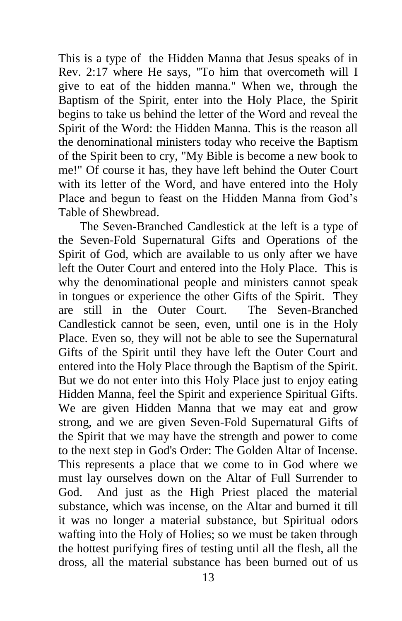This is a type of the Hidden Manna that Jesus speaks of in Rev. 2:17 where He says, "To him that overcometh will I give to eat of the hidden manna." When we, through the Baptism of the Spirit, enter into the Holy Place, the Spirit begins to take us behind the letter of the Word and reveal the Spirit of the Word: the Hidden Manna. This is the reason all the denominational ministers today who receive the Baptism of the Spirit been to cry, "My Bible is become a new book to me!" Of course it has, they have left behind the Outer Court with its letter of the Word, and have entered into the Holy Place and begun to feast on the Hidden Manna from God's Table of Shewbread.

 The Seven-Branched Candlestick at the left is a type of the Seven-Fold Supernatural Gifts and Operations of the Spirit of God, which are available to us only after we have left the Outer Court and entered into the Holy Place. This is why the denominational people and ministers cannot speak in tongues or experience the other Gifts of the Spirit. They are still in the Outer Court. The Seven-Branched Candlestick cannot be seen, even, until one is in the Holy Place. Even so, they will not be able to see the Supernatural Gifts of the Spirit until they have left the Outer Court and entered into the Holy Place through the Baptism of the Spirit. But we do not enter into this Holy Place just to enjoy eating Hidden Manna, feel the Spirit and experience Spiritual Gifts. We are given Hidden Manna that we may eat and grow strong, and we are given Seven-Fold Supernatural Gifts of the Spirit that we may have the strength and power to come to the next step in God's Order: The Golden Altar of Incense. This represents a place that we come to in God where we must lay ourselves down on the Altar of Full Surrender to God. And just as the High Priest placed the material substance, which was incense, on the Altar and burned it till it was no longer a material substance, but Spiritual odors wafting into the Holy of Holies; so we must be taken through the hottest purifying fires of testing until all the flesh, all the dross, all the material substance has been burned out of us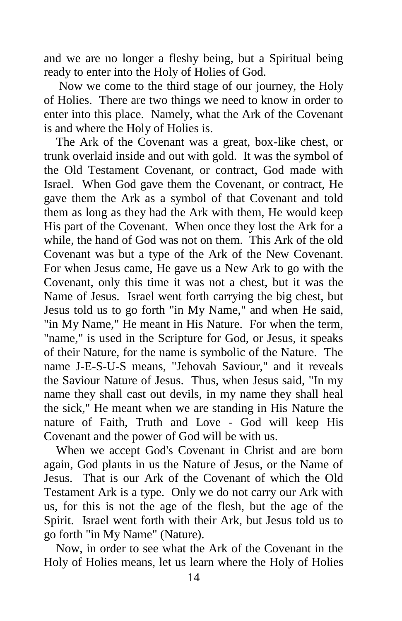and we are no longer a fleshy being, but a Spiritual being ready to enter into the Holy of Holies of God.

 Now we come to the third stage of our journey, the Holy of Holies. There are two things we need to know in order to enter into this place. Namely, what the Ark of the Covenant is and where the Holy of Holies is.

 The Ark of the Covenant was a great, box-like chest, or trunk overlaid inside and out with gold. It was the symbol of the Old Testament Covenant, or contract, God made with Israel. When God gave them the Covenant, or contract, He gave them the Ark as a symbol of that Covenant and told them as long as they had the Ark with them, He would keep His part of the Covenant. When once they lost the Ark for a while, the hand of God was not on them. This Ark of the old Covenant was but a type of the Ark of the New Covenant. For when Jesus came, He gave us a New Ark to go with the Covenant, only this time it was not a chest, but it was the Name of Jesus. Israel went forth carrying the big chest, but Jesus told us to go forth "in My Name," and when He said, "in My Name," He meant in His Nature. For when the term, "name," is used in the Scripture for God, or Jesus, it speaks of their Nature, for the name is symbolic of the Nature. The name J-E-S-U-S means, "Jehovah Saviour," and it reveals the Saviour Nature of Jesus. Thus, when Jesus said, "In my name they shall cast out devils, in my name they shall heal the sick," He meant when we are standing in His Nature the nature of Faith, Truth and Love - God will keep His Covenant and the power of God will be with us.

 When we accept God's Covenant in Christ and are born again, God plants in us the Nature of Jesus, or the Name of Jesus. That is our Ark of the Covenant of which the Old Testament Ark is a type. Only we do not carry our Ark with us, for this is not the age of the flesh, but the age of the Spirit. Israel went forth with their Ark, but Jesus told us to go forth "in My Name" (Nature).

 Now, in order to see what the Ark of the Covenant in the Holy of Holies means, let us learn where the Holy of Holies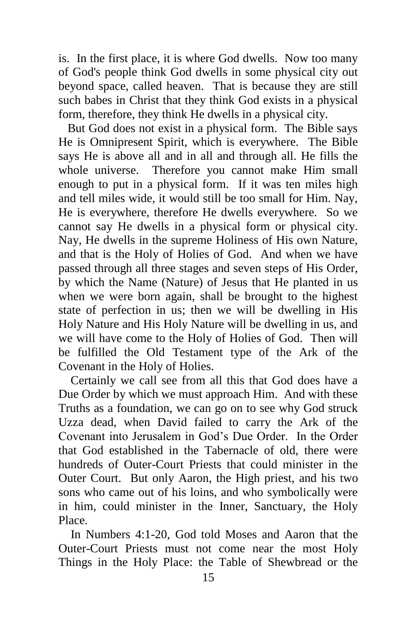is. In the first place, it is where God dwells. Now too many of God's people think God dwells in some physical city out beyond space, called heaven. That is because they are still such babes in Christ that they think God exists in a physical form, therefore, they think He dwells in a physical city.

 But God does not exist in a physical form. The Bible says He is Omnipresent Spirit, which is everywhere. The Bible says He is above all and in all and through all. He fills the whole universe. Therefore you cannot make Him small enough to put in a physical form. If it was ten miles high and tell miles wide, it would still be too small for Him. Nay, He is everywhere, therefore He dwells everywhere. So we cannot say He dwells in a physical form or physical city. Nay, He dwells in the supreme Holiness of His own Nature, and that is the Holy of Holies of God. And when we have passed through all three stages and seven steps of His Order, by which the Name (Nature) of Jesus that He planted in us when we were born again, shall be brought to the highest state of perfection in us; then we will be dwelling in His Holy Nature and His Holy Nature will be dwelling in us, and we will have come to the Holy of Holies of God. Then will be fulfilled the Old Testament type of the Ark of the Covenant in the Holy of Holies.

 Certainly we call see from all this that God does have a Due Order by which we must approach Him. And with these Truths as a foundation, we can go on to see why God struck Uzza dead, when David failed to carry the Ark of the Covenant into Jerusalem in God's Due Order. In the Order that God established in the Tabernacle of old, there were hundreds of Outer-Court Priests that could minister in the Outer Court. But only Aaron, the High priest, and his two sons who came out of his loins, and who symbolically were in him, could minister in the Inner, Sanctuary, the Holy Place.

 In Numbers 4:1-20, God told Moses and Aaron that the Outer-Court Priests must not come near the most Holy Things in the Holy Place: the Table of Shewbread or the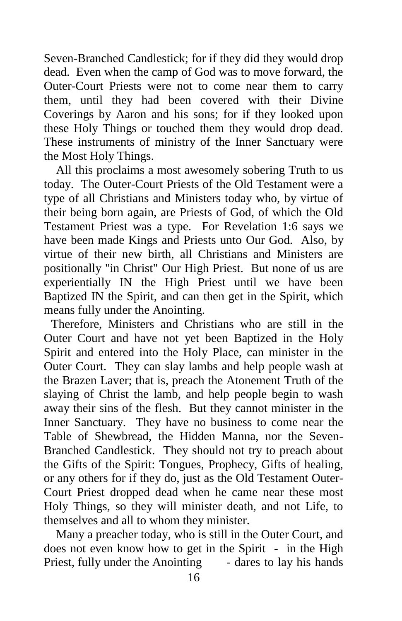Seven-Branched Candlestick; for if they did they would drop dead. Even when the camp of God was to move forward, the Outer-Court Priests were not to come near them to carry them, until they had been covered with their Divine Coverings by Aaron and his sons; for if they looked upon these Holy Things or touched them they would drop dead. These instruments of ministry of the Inner Sanctuary were the Most Holy Things.

 All this proclaims a most awesomely sobering Truth to us today. The Outer-Court Priests of the Old Testament were a type of all Christians and Ministers today who, by virtue of their being born again, are Priests of God, of which the Old Testament Priest was a type. For Revelation 1:6 says we have been made Kings and Priests unto Our God. Also, by virtue of their new birth, all Christians and Ministers are positionally "in Christ" Our High Priest. But none of us are experientially IN the High Priest until we have been Baptized IN the Spirit, and can then get in the Spirit, which means fully under the Anointing.

Therefore, Ministers and Christians who are still in the Outer Court and have not yet been Baptized in the Holy Spirit and entered into the Holy Place, can minister in the Outer Court. They can slay lambs and help people wash at the Brazen Laver; that is, preach the Atonement Truth of the slaying of Christ the lamb, and help people begin to wash away their sins of the flesh. But they cannot minister in the Inner Sanctuary. They have no business to come near the Table of Shewbread, the Hidden Manna, nor the Seven-Branched Candlestick. They should not try to preach about the Gifts of the Spirit: Tongues, Prophecy, Gifts of healing, or any others for if they do, just as the Old Testament Outer-Court Priest dropped dead when he came near these most Holy Things, so they will minister death, and not Life, to themselves and all to whom they minister.

 Many a preacher today, who is still in the Outer Court, and does not even know how to get in the Spirit - in the High Priest, fully under the Anointing - dares to lay his hands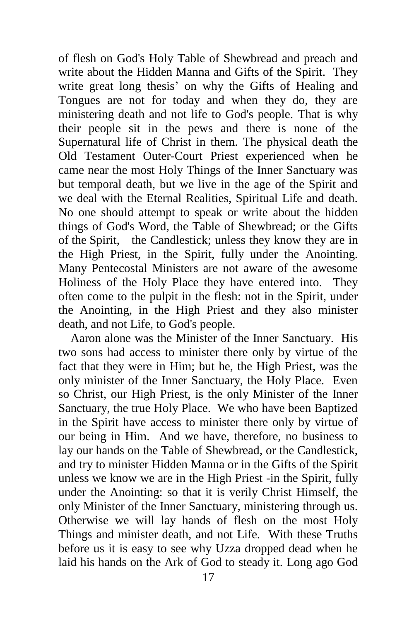of flesh on God's Holy Table of Shewbread and preach and write about the Hidden Manna and Gifts of the Spirit. They write great long thesis' on why the Gifts of Healing and Tongues are not for today and when they do, they are ministering death and not life to God's people. That is why their people sit in the pews and there is none of the Supernatural life of Christ in them. The physical death the Old Testament Outer-Court Priest experienced when he came near the most Holy Things of the Inner Sanctuary was but temporal death, but we live in the age of the Spirit and we deal with the Eternal Realities, Spiritual Life and death. No one should attempt to speak or write about the hidden things of God's Word, the Table of Shewbread; or the Gifts of the Spirit, the Candlestick; unless they know they are in the High Priest, in the Spirit, fully under the Anointing. Many Pentecostal Ministers are not aware of the awesome Holiness of the Holy Place they have entered into. They often come to the pulpit in the flesh: not in the Spirit, under the Anointing, in the High Priest and they also minister death, and not Life, to God's people.

 Aaron alone was the Minister of the Inner Sanctuary. His two sons had access to minister there only by virtue of the fact that they were in Him; but he, the High Priest, was the only minister of the Inner Sanctuary, the Holy Place. Even so Christ, our High Priest, is the only Minister of the Inner Sanctuary, the true Holy Place. We who have been Baptized in the Spirit have access to minister there only by virtue of our being in Him. And we have, therefore, no business to lay our hands on the Table of Shewbread, or the Candlestick, and try to minister Hidden Manna or in the Gifts of the Spirit unless we know we are in the High Priest -in the Spirit, fully under the Anointing: so that it is verily Christ Himself, the only Minister of the Inner Sanctuary, ministering through us. Otherwise we will lay hands of flesh on the most Holy Things and minister death, and not Life. With these Truths before us it is easy to see why Uzza dropped dead when he laid his hands on the Ark of God to steady it. Long ago God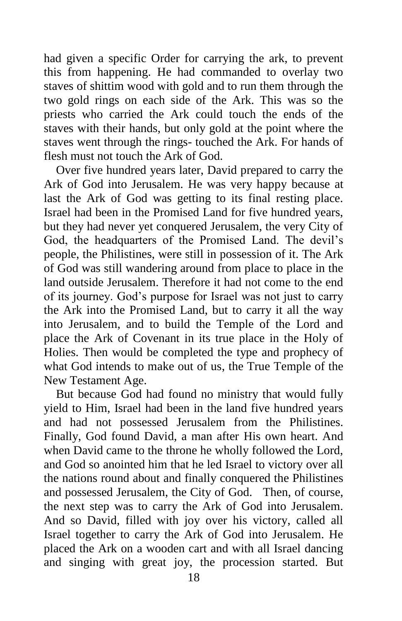had given a specific Order for carrying the ark, to prevent this from happening. He had commanded to overlay two staves of shittim wood with gold and to run them through the two gold rings on each side of the Ark. This was so the priests who carried the Ark could touch the ends of the staves with their hands, but only gold at the point where the staves went through the rings- touched the Ark. For hands of flesh must not touch the Ark of God.

 Over five hundred years later, David prepared to carry the Ark of God into Jerusalem. He was very happy because at last the Ark of God was getting to its final resting place. Israel had been in the Promised Land for five hundred years, but they had never yet conquered Jerusalem, the very City of God, the headquarters of the Promised Land. The devil's people, the Philistines, were still in possession of it. The Ark of God was still wandering around from place to place in the land outside Jerusalem. Therefore it had not come to the end of its journey. God's purpose for Israel was not just to carry the Ark into the Promised Land, but to carry it all the way into Jerusalem, and to build the Temple of the Lord and place the Ark of Covenant in its true place in the Holy of Holies. Then would be completed the type and prophecy of what God intends to make out of us, the True Temple of the New Testament Age.

 But because God had found no ministry that would fully yield to Him, Israel had been in the land five hundred years and had not possessed Jerusalem from the Philistines. Finally, God found David, a man after His own heart. And when David came to the throne he wholly followed the Lord, and God so anointed him that he led Israel to victory over all the nations round about and finally conquered the Philistines and possessed Jerusalem, the City of God. Then, of course, the next step was to carry the Ark of God into Jerusalem. And so David, filled with joy over his victory, called all Israel together to carry the Ark of God into Jerusalem. He placed the Ark on a wooden cart and with all Israel dancing and singing with great joy, the procession started. But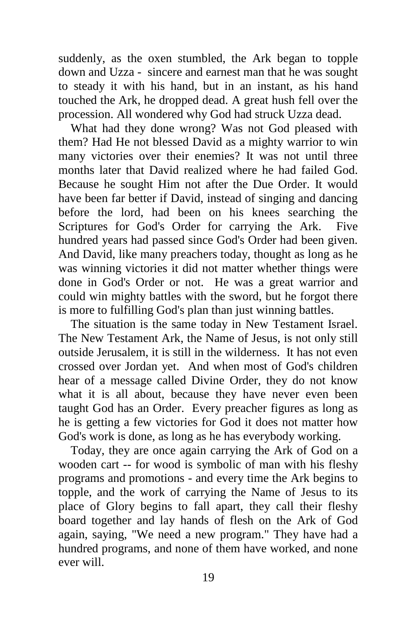suddenly, as the oxen stumbled, the Ark began to topple down and Uzza - sincere and earnest man that he was sought to steady it with his hand, but in an instant, as his hand touched the Ark, he dropped dead. A great hush fell over the procession. All wondered why God had struck Uzza dead.

 What had they done wrong? Was not God pleased with them? Had He not blessed David as a mighty warrior to win many victories over their enemies? It was not until three months later that David realized where he had failed God. Because he sought Him not after the Due Order. It would have been far better if David, instead of singing and dancing before the lord, had been on his knees searching the Scriptures for God's Order for carrying the Ark. Five hundred years had passed since God's Order had been given. And David, like many preachers today, thought as long as he was winning victories it did not matter whether things were done in God's Order or not. He was a great warrior and could win mighty battles with the sword, but he forgot there is more to fulfilling God's plan than just winning battles.

 The situation is the same today in New Testament Israel. The New Testament Ark, the Name of Jesus, is not only still outside Jerusalem, it is still in the wilderness. It has not even crossed over Jordan yet. And when most of God's children hear of a message called Divine Order, they do not know what it is all about, because they have never even been taught God has an Order. Every preacher figures as long as he is getting a few victories for God it does not matter how God's work is done, as long as he has everybody working.

 Today, they are once again carrying the Ark of God on a wooden cart -- for wood is symbolic of man with his fleshy programs and promotions - and every time the Ark begins to topple, and the work of carrying the Name of Jesus to its place of Glory begins to fall apart, they call their fleshy board together and lay hands of flesh on the Ark of God again, saying, "We need a new program." They have had a hundred programs, and none of them have worked, and none ever will.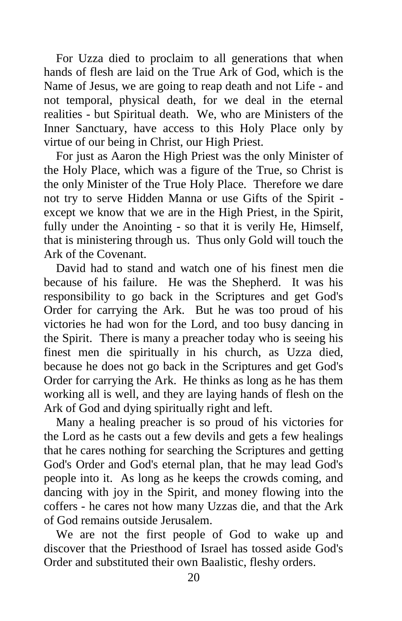For Uzza died to proclaim to all generations that when hands of flesh are laid on the True Ark of God, which is the Name of Jesus, we are going to reap death and not Life - and not temporal, physical death, for we deal in the eternal realities - but Spiritual death. We, who are Ministers of the Inner Sanctuary, have access to this Holy Place only by virtue of our being in Christ, our High Priest.

 For just as Aaron the High Priest was the only Minister of the Holy Place, which was a figure of the True, so Christ is the only Minister of the True Holy Place. Therefore we dare not try to serve Hidden Manna or use Gifts of the Spirit except we know that we are in the High Priest, in the Spirit, fully under the Anointing - so that it is verily He, Himself, that is ministering through us. Thus only Gold will touch the Ark of the Covenant.

 David had to stand and watch one of his finest men die because of his failure. He was the Shepherd. It was his responsibility to go back in the Scriptures and get God's Order for carrying the Ark. But he was too proud of his victories he had won for the Lord, and too busy dancing in the Spirit. There is many a preacher today who is seeing his finest men die spiritually in his church, as Uzza died, because he does not go back in the Scriptures and get God's Order for carrying the Ark. He thinks as long as he has them working all is well, and they are laying hands of flesh on the Ark of God and dying spiritually right and left.

 Many a healing preacher is so proud of his victories for the Lord as he casts out a few devils and gets a few healings that he cares nothing for searching the Scriptures and getting God's Order and God's eternal plan, that he may lead God's people into it. As long as he keeps the crowds coming, and dancing with joy in the Spirit, and money flowing into the coffers - he cares not how many Uzzas die, and that the Ark of God remains outside Jerusalem.

 We are not the first people of God to wake up and discover that the Priesthood of Israel has tossed aside God's Order and substituted their own Baalistic, fleshy orders.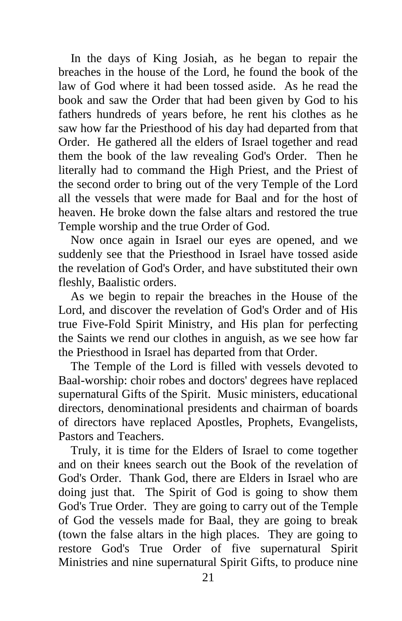In the days of King Josiah, as he began to repair the breaches in the house of the Lord, he found the book of the law of God where it had been tossed aside. As he read the book and saw the Order that had been given by God to his fathers hundreds of years before, he rent his clothes as he saw how far the Priesthood of his day had departed from that Order. He gathered all the elders of Israel together and read them the book of the law revealing God's Order. Then he literally had to command the High Priest, and the Priest of the second order to bring out of the very Temple of the Lord all the vessels that were made for Baal and for the host of heaven. He broke down the false altars and restored the true Temple worship and the true Order of God.

 Now once again in Israel our eyes are opened, and we suddenly see that the Priesthood in Israel have tossed aside the revelation of God's Order, and have substituted their own fleshly, Baalistic orders.

 As we begin to repair the breaches in the House of the Lord, and discover the revelation of God's Order and of His true Five-Fold Spirit Ministry, and His plan for perfecting the Saints we rend our clothes in anguish, as we see how far the Priesthood in Israel has departed from that Order.

 The Temple of the Lord is filled with vessels devoted to Baal-worship: choir robes and doctors' degrees have replaced supernatural Gifts of the Spirit. Music ministers, educational directors, denominational presidents and chairman of boards of directors have replaced Apostles, Prophets, Evangelists, Pastors and Teachers.

 Truly, it is time for the Elders of Israel to come together and on their knees search out the Book of the revelation of God's Order. Thank God, there are Elders in Israel who are doing just that. The Spirit of God is going to show them God's True Order. They are going to carry out of the Temple of God the vessels made for Baal, they are going to break (town the false altars in the high places. They are going to restore God's True Order of five supernatural Spirit Ministries and nine supernatural Spirit Gifts, to produce nine